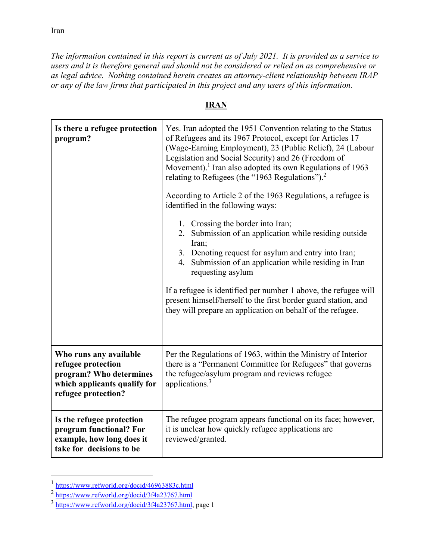Iran

*The information contained in this report is current as of July 2021. It is provided as a service to users and it is therefore general and should not be considered or relied on as comprehensive or as legal advice. Nothing contained herein creates an attorney-client relationship between IRAP or any of the law firms that participated in this project and any users of this information.* 

## **Is there a refugee protection program?** Yes. Iran adopted the 1951 Convention relating to the Status of Refugees and its 1967 Protocol, except for Articles 17 (Wage-Earning Employment), 23 (Public Relief), 24 (Labour Legislation and Social Security) and 26 (Freedom of Movement).<sup>1</sup> Iran also adopted its own Regulations of 1963 relating to Refugees (the "1963 Regulations").<sup>2</sup> According to Article 2 of the 1963 Regulations, a refugee is identified in the following ways: 1. Crossing the border into Iran; 2. Submission of an application while residing outside Iran; 3. Denoting request for asylum and entry into Iran; 4. Submission of an application while residing in Iran requesting asylum If a refugee is identified per number 1 above, the refugee will present himself/herself to the first border guard station, and they will prepare an application on behalf of the refugee. **Who runs any available refugee protection program? Who determines which applicants qualify for refugee protection?**  Per the Regulations of 1963, within the Ministry of Interior there is a "Permanent Committee for Refugees" that governs the refugee/asylum program and reviews refugee applications.3 **Is the refugee protection**  The refugee program appears functional on its face; however,

it is unclear how quickly refugee applications are

## **IRAN**

reviewed/granted.

**program functional? For example, how long does it take for decisions to be** 

 $\overline{a}$ 

 $\frac{1 \text{ https://www.refworld.org/docid/46963883c.html}}{2 \frac{\text{https://www.refworld.org/docid/3f4a23767.html}}{3 \text{ https://www.refworld.org/docid/3f4a23767.html}}$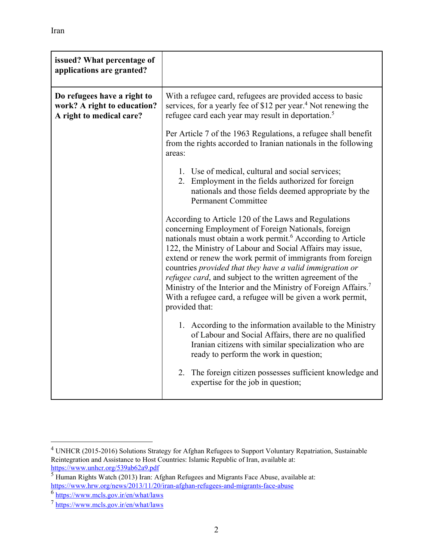| issued? What percentage of<br>applications are granted?                                |                                                                                                                                                                                                                                                                                                                                                                                                                                                                                                                                                                                                                  |
|----------------------------------------------------------------------------------------|------------------------------------------------------------------------------------------------------------------------------------------------------------------------------------------------------------------------------------------------------------------------------------------------------------------------------------------------------------------------------------------------------------------------------------------------------------------------------------------------------------------------------------------------------------------------------------------------------------------|
| Do refugees have a right to<br>work? A right to education?<br>A right to medical care? | With a refugee card, refugees are provided access to basic<br>services, for a yearly fee of \$12 per year. <sup>4</sup> Not renewing the<br>refugee card each year may result in deportation. <sup>5</sup>                                                                                                                                                                                                                                                                                                                                                                                                       |
|                                                                                        | Per Article 7 of the 1963 Regulations, a refugee shall benefit<br>from the rights accorded to Iranian nationals in the following<br>areas:                                                                                                                                                                                                                                                                                                                                                                                                                                                                       |
|                                                                                        | 1. Use of medical, cultural and social services;<br>2. Employment in the fields authorized for foreign<br>nationals and those fields deemed appropriate by the<br><b>Permanent Committee</b>                                                                                                                                                                                                                                                                                                                                                                                                                     |
|                                                                                        | According to Article 120 of the Laws and Regulations<br>concerning Employment of Foreign Nationals, foreign<br>nationals must obtain a work permit. <sup>6</sup> According to Article<br>122, the Ministry of Labour and Social Affairs may issue,<br>extend or renew the work permit of immigrants from foreign<br>countries provided that they have a valid immigration or<br><i>refugee card</i> , and subject to the written agreement of the<br>Ministry of the Interior and the Ministry of Foreign Affairs. <sup>7</sup><br>With a refugee card, a refugee will be given a work permit,<br>provided that: |
|                                                                                        | 1. According to the information available to the Ministry<br>of Labour and Social Affairs, there are no qualified<br>Iranian citizens with similar specialization who are<br>ready to perform the work in question;                                                                                                                                                                                                                                                                                                                                                                                              |
|                                                                                        | 2. The foreign citizen possesses sufficient knowledge and<br>expertise for the job in question;                                                                                                                                                                                                                                                                                                                                                                                                                                                                                                                  |

<sup>&</sup>lt;sup>4</sup> UNHCR (2015-2016) Solutions Strategy for Afghan Refugees to Support Voluntary Repatriation, Sustainable Reintegration and Assistance to Host Countries: Islamic Republic of Iran, available at:<br>https://www.unhcr.org/539ab62a9.pdf

<sup>&</sup>lt;u>https://www.unhcr.org/539ab62a9.pdf</u><br><sup>5</sup> Human Rights Watch (2013) Iran: Afghan Refugees and Migrants Face Abuse, available at: https://www.hrw.org/news/2013/11/20/iran-afghan-refugees-and-migrants-face-abuse<br><sup>6</sup> https://www.mcls.gov.ir/en/what/laws<br>7 https://www.mcls.gov.ir/en/what/laws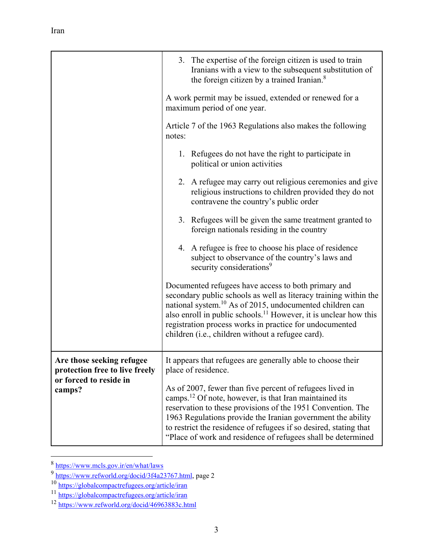|                                                                                                 | 3. The expertise of the foreign citizen is used to train<br>Iranians with a view to the subsequent substitution of<br>the foreign citizen by a trained Iranian. <sup>8</sup>                                                                                                                                                                                                                      |
|-------------------------------------------------------------------------------------------------|---------------------------------------------------------------------------------------------------------------------------------------------------------------------------------------------------------------------------------------------------------------------------------------------------------------------------------------------------------------------------------------------------|
|                                                                                                 | A work permit may be issued, extended or renewed for a<br>maximum period of one year.                                                                                                                                                                                                                                                                                                             |
|                                                                                                 | Article 7 of the 1963 Regulations also makes the following<br>notes:                                                                                                                                                                                                                                                                                                                              |
|                                                                                                 | 1. Refugees do not have the right to participate in<br>political or union activities                                                                                                                                                                                                                                                                                                              |
|                                                                                                 | 2. A refugee may carry out religious ceremonies and give<br>religious instructions to children provided they do not<br>contravene the country's public order                                                                                                                                                                                                                                      |
|                                                                                                 | 3. Refugees will be given the same treatment granted to<br>foreign nationals residing in the country                                                                                                                                                                                                                                                                                              |
|                                                                                                 | 4. A refugee is free to choose his place of residence<br>subject to observance of the country's laws and<br>security considerations <sup>9</sup>                                                                                                                                                                                                                                                  |
|                                                                                                 | Documented refugees have access to both primary and<br>secondary public schools as well as literacy training within the<br>national system. <sup>10</sup> As of 2015, undocumented children can<br>also enroll in public schools. <sup>11</sup> However, it is unclear how this<br>registration process works in practice for undocumented<br>children (i.e., children without a refugee card).   |
| Are those seeking refugee<br>protection free to live freely<br>or forced to reside in<br>camps? | It appears that refugees are generally able to choose their<br>place of residence.                                                                                                                                                                                                                                                                                                                |
|                                                                                                 | As of 2007, fewer than five percent of refugees lived in<br>camps. <sup>12</sup> Of note, however, is that Iran maintained its<br>reservation to these provisions of the 1951 Convention. The<br>1963 Regulations provide the Iranian government the ability<br>to restrict the residence of refugees if so desired, stating that<br>"Place of work and residence of refugees shall be determined |

<sup>&</sup>lt;sup>8</sup> https://www.mcls.gov.ir/en/what/laws<br><sup>9</sup> https://www.refworld.org/docid/3f4a23767.html, page 2

<sup>10</sup> https://globalcompactrefugees.org/article/iran<br>11 https://globalcompactrefugees.org/article/iran<br>12 https://www.refworld.org/docid/46963883c.html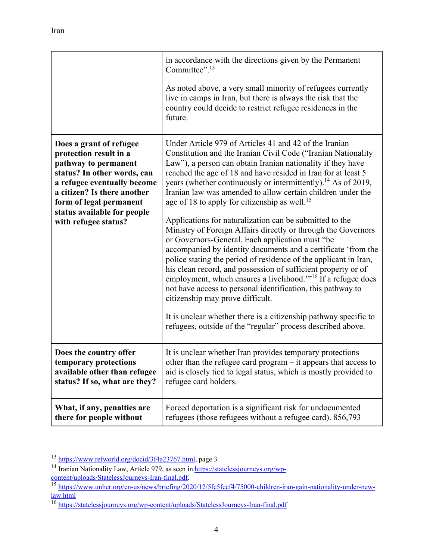|                                                                                                                                                                                                                                                          | in accordance with the directions given by the Permanent<br>Committee". $13$<br>As noted above, a very small minority of refugees currently<br>live in camps in Iran, but there is always the risk that the<br>country could decide to restrict refugee residences in the<br>future.                                                                                                                                                                                                                                                                                                                                                                                                                                                                                                                                                                                                                                                                                                                                                                                                                                                                                    |
|----------------------------------------------------------------------------------------------------------------------------------------------------------------------------------------------------------------------------------------------------------|-------------------------------------------------------------------------------------------------------------------------------------------------------------------------------------------------------------------------------------------------------------------------------------------------------------------------------------------------------------------------------------------------------------------------------------------------------------------------------------------------------------------------------------------------------------------------------------------------------------------------------------------------------------------------------------------------------------------------------------------------------------------------------------------------------------------------------------------------------------------------------------------------------------------------------------------------------------------------------------------------------------------------------------------------------------------------------------------------------------------------------------------------------------------------|
| Does a grant of refugee<br>protection result in a<br>pathway to permanent<br>status? In other words, can<br>a refugee eventually become<br>a citizen? Is there another<br>form of legal permanent<br>status available for people<br>with refugee status? | Under Article 979 of Articles 41 and 42 of the Iranian<br>Constitution and the Iranian Civil Code ("Iranian Nationality<br>Law"), a person can obtain Iranian nationality if they have<br>reached the age of 18 and have resided in Iran for at least 5<br>years (whether continuously or intermittently). <sup>14</sup> As of 2019,<br>Iranian law was amended to allow certain children under the<br>age of 18 to apply for citizenship as well. <sup>15</sup><br>Applications for naturalization can be submitted to the<br>Ministry of Foreign Affairs directly or through the Governors<br>or Governors-General. Each application must "be<br>accompanied by identity documents and a certificate 'from the<br>police stating the period of residence of the applicant in Iran,<br>his clean record, and possession of sufficient property or of<br>employment, which ensures a livelihood." <sup>16</sup> If a refugee does<br>not have access to personal identification, this pathway to<br>citizenship may prove difficult.<br>It is unclear whether there is a citizenship pathway specific to<br>refugees, outside of the "regular" process described above. |
| Does the country offer                                                                                                                                                                                                                                   | It is unclear whether Iran provides temporary protections                                                                                                                                                                                                                                                                                                                                                                                                                                                                                                                                                                                                                                                                                                                                                                                                                                                                                                                                                                                                                                                                                                               |
| temporary protections                                                                                                                                                                                                                                    | other than the refugee card program $-$ it appears that access to                                                                                                                                                                                                                                                                                                                                                                                                                                                                                                                                                                                                                                                                                                                                                                                                                                                                                                                                                                                                                                                                                                       |
| available other than refugee                                                                                                                                                                                                                             | aid is closely tied to legal status, which is mostly provided to                                                                                                                                                                                                                                                                                                                                                                                                                                                                                                                                                                                                                                                                                                                                                                                                                                                                                                                                                                                                                                                                                                        |
| status? If so, what are they?                                                                                                                                                                                                                            | refugee card holders.                                                                                                                                                                                                                                                                                                                                                                                                                                                                                                                                                                                                                                                                                                                                                                                                                                                                                                                                                                                                                                                                                                                                                   |
| What, if any, penalties are                                                                                                                                                                                                                              | Forced deportation is a significant risk for undocumented                                                                                                                                                                                                                                                                                                                                                                                                                                                                                                                                                                                                                                                                                                                                                                                                                                                                                                                                                                                                                                                                                                               |
| there for people without                                                                                                                                                                                                                                 | refugees (those refugees without a refugee card). 856,793                                                                                                                                                                                                                                                                                                                                                                                                                                                                                                                                                                                                                                                                                                                                                                                                                                                                                                                                                                                                                                                                                                               |

<sup>&</sup>lt;sup>13</sup> https://www.refworld.org/docid/3f4a23767.html, page 3

<sup>&</sup>lt;sup>14</sup> Iranian Nationality Law, Article 979, as seen in https://statelessjourneys.org/wp-

content/uploads/StatelessJourneys-Iran-final.pdf. 15 https://www.unhcr.org/en-us/news/briefing/2020/12/5fc5fecf4/75000-children-iran-gain-nationality-under-newlaw.html 16 https://statelessjourneys.org/wp-content/uploads/StatelessJourneys-Iran-final.pdf